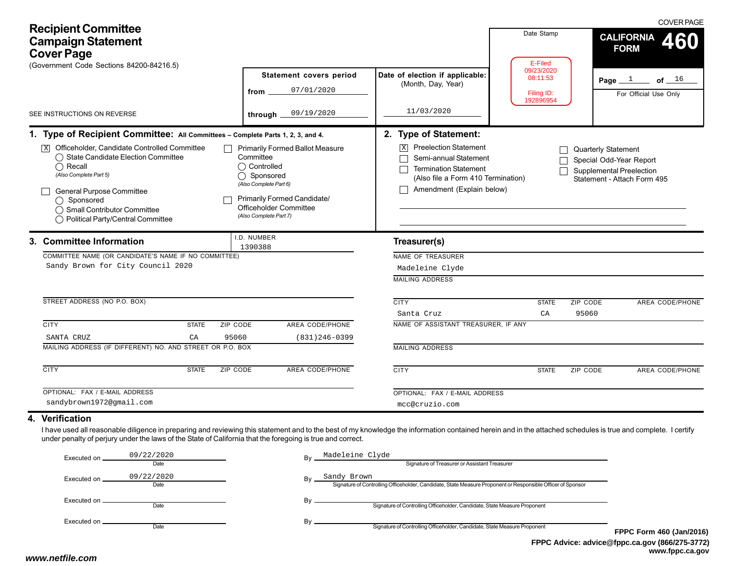| <b>Recipient Committee</b><br><b>Campaign Statement</b><br><b>Cover Page</b><br>(Government Code Sections 84200-84216.5)                                                                                                                                                                                                                         |                                                                                                                                                                                                 |                                                                                                                                                                                                      | Date Stamp<br>E-Filed                             | <b>COVER PAGE</b><br><b>CALIFORNIA</b><br>460<br><b>FORM</b>                                                     |
|--------------------------------------------------------------------------------------------------------------------------------------------------------------------------------------------------------------------------------------------------------------------------------------------------------------------------------------------------|-------------------------------------------------------------------------------------------------------------------------------------------------------------------------------------------------|------------------------------------------------------------------------------------------------------------------------------------------------------------------------------------------------------|---------------------------------------------------|------------------------------------------------------------------------------------------------------------------|
|                                                                                                                                                                                                                                                                                                                                                  | <b>Statement covers period</b><br>07/01/2020<br>from                                                                                                                                            | Date of election if applicable:<br>(Month, Day, Year)                                                                                                                                                | 09/23/2020<br>08:11:53<br>Filing ID:<br>192896954 | Page $1$<br>of $\_\!\_1$ <sup>6</sup><br>For Official Use Only                                                   |
| SEE INSTRUCTIONS ON REVERSE                                                                                                                                                                                                                                                                                                                      | 09/19/2020<br>through                                                                                                                                                                           | 11/03/2020                                                                                                                                                                                           |                                                   |                                                                                                                  |
| 1. Type of Recipient Committee: All Committees - Complete Parts 1, 2, 3, and 4.<br>Officeholder, Candidate Controlled Committee<br> X <br>◯ State Candidate Election Committee<br>$\bigcap$ Recall<br>(Also Complete Part 5)<br>General Purpose Committee<br>◯ Sponsored<br>◯ Small Contributor Committee<br>◯ Political Party/Central Committee | <b>Primarily Formed Ballot Measure</b><br>Committee<br>◯ Controlled<br>◯ Sponsored<br>(Also Complete Part 6)<br>Primarily Formed Candidate/<br>Officeholder Committee<br>(Also Complete Part 7) | 2. Type of Statement:<br><b>Preelection Statement</b><br>$\vert X \vert$<br>Semi-annual Statement<br><b>Termination Statement</b><br>(Also file a Form 410 Termination)<br>Amendment (Explain below) |                                                   | <b>Quarterly Statement</b><br>Special Odd-Year Report<br>Supplemental Preelection<br>Statement - Attach Form 495 |
| 3. Committee Information<br>COMMITTEE NAME (OR CANDIDATE'S NAME IF NO COMMITTEE)<br>Sandy Brown for City Council 2020                                                                                                                                                                                                                            | I.D. NUMBER<br>1390388                                                                                                                                                                          | Treasurer(s)<br>NAME OF TREASURER<br>Madeleine Clyde<br><b>MAILING ADDRESS</b>                                                                                                                       |                                                   |                                                                                                                  |
| STREET ADDRESS (NO P.O. BOX)                                                                                                                                                                                                                                                                                                                     |                                                                                                                                                                                                 | <b>CITY</b><br>Santa Cruz                                                                                                                                                                            | <b>STATE</b><br>CA                                | ZIP CODE<br>AREA CODE/PHONE<br>95060                                                                             |
| <b>CITY</b><br><b>STATE</b><br>ZIP CODE<br>SANTA CRUZ<br>CA<br>95060<br>MAILING ADDRESS (IF DIFFERENT) NO. AND STREET OR P.O. BOX                                                                                                                                                                                                                | AREA CODE/PHONE<br>$(831)$ 246-0399                                                                                                                                                             | NAME OF ASSISTANT TREASURER, IF ANY<br><b>MAILING ADDRESS</b>                                                                                                                                        |                                                   |                                                                                                                  |
| <b>CITY</b><br><b>STATE</b><br><b>ZIP CODE</b>                                                                                                                                                                                                                                                                                                   | <b>AREA CODE/PHONE</b>                                                                                                                                                                          | <b>CITY</b>                                                                                                                                                                                          | <b>STATE</b>                                      | ZIP CODE<br>AREA CODE/PHONE                                                                                      |
| OPTIONAL: FAX / E-MAIL ADDRESS<br>sandybrown1972@gmail.com                                                                                                                                                                                                                                                                                       |                                                                                                                                                                                                 | OPTIONAL: FAX / E-MAIL ADDRESS<br>mcc@cruzio.com                                                                                                                                                     |                                                   |                                                                                                                  |
| 4. Verification<br>I have used all reasonable diligence in preparing and reviewing this statement and to the best of my knowledge the information contained herein and in the attached schedules is true and complete. I certify<br>under penalty of perjury under the laws of the State of California that the foregoing is true and correct.   |                                                                                                                                                                                                 |                                                                                                                                                                                                      |                                                   |                                                                                                                  |

| Executed on | 09/22/2020<br>Date | Madeleine Clyde<br>Bv<br>Signature of Treasurer or Assistant Treasurer                                                           |             |
|-------------|--------------------|----------------------------------------------------------------------------------------------------------------------------------|-------------|
| Executed on | 09/22/2020<br>Date | Sandy Brown<br>Bv<br>Signature of Controlling Officeholder, Candidate, State Measure Proponent or Responsible Officer of Sponsor |             |
| Executed on | Date               | Bv<br>Signature of Controlling Officeholder, Candidate, State Measure Proponent                                                  |             |
| Executed on | Date               | Bv<br>Signature of Controlling Officeholder, Candidate, State Measure Proponent                                                  | <b>FPPC</b> |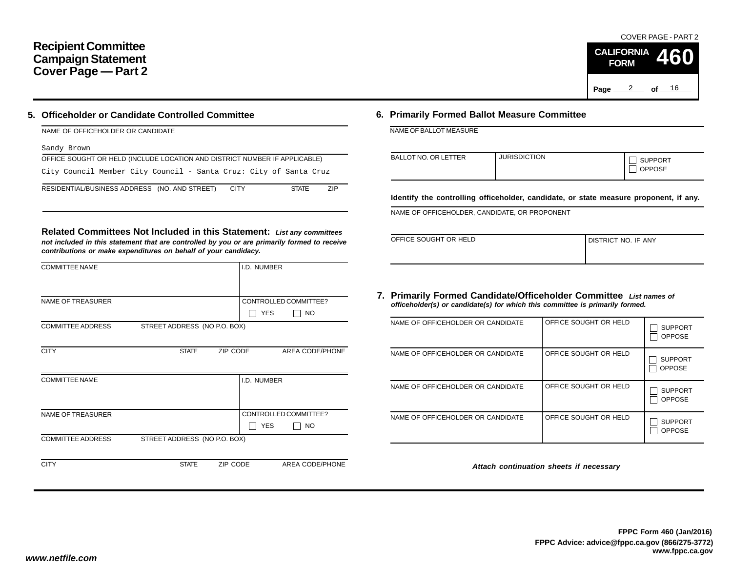### **Recipient Committee Campaign Statement Cover Page — Part 2**

#### **5. Officeholder or Candidate Controlled Committee**

| NAME OF OFFICEHOLDER OR CANDIDATE                                            |     |
|------------------------------------------------------------------------------|-----|
| Sandy Brown                                                                  |     |
| OFFICE SOUGHT OR HELD (INCLUDE LOCATION AND DISTRICT NUMBER IF APPLICABLE)   |     |
| City Council Member City Council - Santa Cruz: City of Santa Cruz            |     |
| RESIDENTIAL/BUSINESS ADDRESS (NO. AND STREET)<br><b>CITY</b><br><b>STATE</b> | 7IP |

**Related Committees Not Included in this Statement:** *List any committees not included in this statement that are controlled by you or are primarily formed to receive contributions or make expenditures on behalf of your candidacy.*

| <b>COMMITTEE NAME</b>    |                              |          | I.D. NUMBER |                       |
|--------------------------|------------------------------|----------|-------------|-----------------------|
|                          |                              |          |             |                       |
| <b>NAME OF TREASURER</b> |                              |          |             | CONTROLLED COMMITTEE? |
|                          |                              |          | <b>YES</b>  | <b>NO</b>             |
| <b>COMMITTEE ADDRESS</b> | STREET ADDRESS (NO P.O. BOX) |          |             |                       |
|                          |                              |          |             |                       |
| <b>CITY</b>              | <b>STATE</b>                 | ZIP CODE |             | AREA CODE/PHONE       |
|                          |                              |          |             |                       |
| <b>COMMITTEE NAME</b>    |                              |          | I.D. NUMBER |                       |
|                          |                              |          |             |                       |
|                          |                              |          |             |                       |
| <b>NAME OF TREASURER</b> |                              |          |             | CONTROLLED COMMITTEE? |
|                          |                              |          | <b>YES</b>  | NO                    |
| <b>COMMITTEE ADDRESS</b> | STREET ADDRESS (NO P.O. BOX) |          |             |                       |
|                          |                              |          |             |                       |
| <b>CITY</b>              | <b>STATE</b>                 | ZIP CODE |             | AREA CODE/PHONE       |

#### **6. Primarily Formed Ballot Measure Committee**

NAME OF BALLOT MEASURE

| <b>BALLOT NO. OR LETTER</b> | <b>JURISDICTION</b> | <b>SUPPORT</b><br><b>OPPOSE</b> |
|-----------------------------|---------------------|---------------------------------|
|-----------------------------|---------------------|---------------------------------|

**Identify the controlling officeholder, candidate, or state measure proponent, if any.**

NAME OF OFFICEHOLDER, CANDIDATE, OR PROPONENT

| OFFICE SOUGHT OR HELD | I DISTRICT NO. IF ANY |  |
|-----------------------|-----------------------|--|
|                       |                       |  |

#### **7. Primarily Formed Candidate/Officeholder Committee** *List names of officeholder(s) or candidate(s) for which this committee is primarily formed.*

| NAME OF OFFICEHOLDER OR CANDIDATE | OFFICE SOUGHT OR HELD | <b>SUPPORT</b><br><b>OPPOSE</b> |
|-----------------------------------|-----------------------|---------------------------------|
| NAME OF OFFICEHOLDER OR CANDIDATE | OFFICE SOUGHT OR HELD | <b>SUPPORT</b><br><b>OPPOSE</b> |
| NAME OF OFFICEHOLDER OR CANDIDATE | OFFICE SOUGHT OR HELD | <b>SUPPORT</b><br><b>OPPOSE</b> |
| NAME OF OFFICEHOLDER OR CANDIDATE | OFFICE SOUGHT OR HELD | <b>SUPPORT</b><br><b>OPPOSE</b> |

*Attach continuation sheets if necessary*

COVER PAGE - PART 2

**460**

Page <u>2</u> of <u>16</u>

**CALIFORNIA FORM**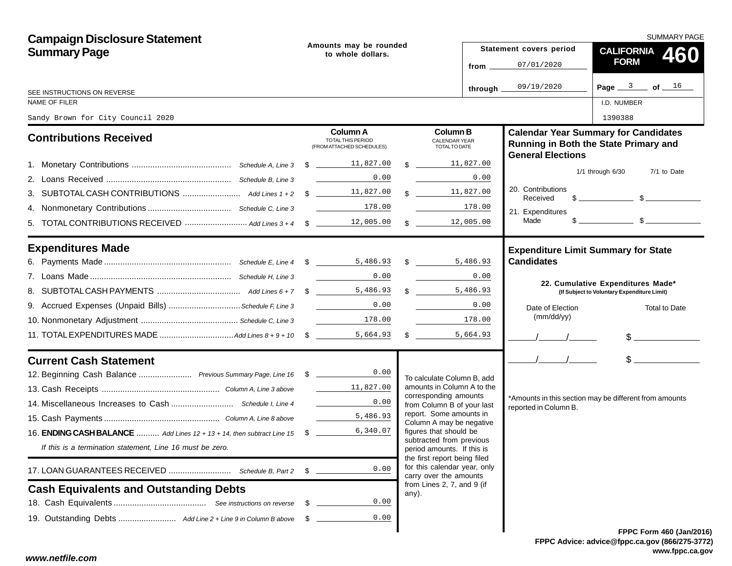| <b>Campaign Disclosure Statement</b><br><b>Summary Page</b>                       |      | Amounts may be rounded<br>to whole dollars.                       |                                                                                        |                                                                |  | <b>SUMMARY PAGE</b>           |                                                                                                                                                                                                                                                                                                                     |  |  |  |
|-----------------------------------------------------------------------------------|------|-------------------------------------------------------------------|----------------------------------------------------------------------------------------|----------------------------------------------------------------|--|-------------------------------|---------------------------------------------------------------------------------------------------------------------------------------------------------------------------------------------------------------------------------------------------------------------------------------------------------------------|--|--|--|
|                                                                                   |      |                                                                   |                                                                                        |                                                                |  | Statement covers period       | CALIFORNIA 460                                                                                                                                                                                                                                                                                                      |  |  |  |
|                                                                                   |      |                                                                   |                                                                                        | from $\overline{\phantom{a}}$                                  |  | 07/01/2020                    | <b>FORM</b>                                                                                                                                                                                                                                                                                                         |  |  |  |
| SEE INSTRUCTIONS ON REVERSE                                                       |      |                                                                   |                                                                                        | through.                                                       |  | 09/19/2020                    | Page $3$ of $16$                                                                                                                                                                                                                                                                                                    |  |  |  |
| NAME OF FILER                                                                     |      |                                                                   |                                                                                        |                                                                |  |                               | I.D. NUMBER                                                                                                                                                                                                                                                                                                         |  |  |  |
| Sandy Brown for City Council 2020                                                 |      |                                                                   |                                                                                        |                                                                |  |                               | 1390388                                                                                                                                                                                                                                                                                                             |  |  |  |
| <b>Contributions Received</b>                                                     |      | <b>Column A</b><br>TOTAL THIS PERIOD<br>(FROM ATTACHED SCHEDULES) |                                                                                        | <b>Column B</b><br><b>CALENDAR YEAR</b><br><b>TOTALTO DATE</b> |  | <b>General Elections</b>      | <b>Calendar Year Summary for Candidates</b><br>Running in Both the State Primary and                                                                                                                                                                                                                                |  |  |  |
|                                                                                   |      |                                                                   |                                                                                        | \$ 11,827.00                                                   |  |                               |                                                                                                                                                                                                                                                                                                                     |  |  |  |
|                                                                                   |      | 0.00                                                              |                                                                                        | 0.00                                                           |  |                               | $1/1$ through $6/30$<br>7/1 to Date                                                                                                                                                                                                                                                                                 |  |  |  |
|                                                                                   |      |                                                                   |                                                                                        | $\frac{11,827,00}{\frac{11,827}{\frac{1}{100}}}$               |  | 20. Contributions<br>Received | $\frac{1}{2}$ $\frac{1}{2}$ $\frac{1}{2}$ $\frac{1}{2}$ $\frac{1}{2}$ $\frac{1}{2}$ $\frac{1}{2}$ $\frac{1}{2}$ $\frac{1}{2}$ $\frac{1}{2}$ $\frac{1}{2}$ $\frac{1}{2}$ $\frac{1}{2}$ $\frac{1}{2}$ $\frac{1}{2}$ $\frac{1}{2}$ $\frac{1}{2}$ $\frac{1}{2}$ $\frac{1}{2}$ $\frac{1}{2}$ $\frac{1}{2}$ $\frac{1}{2}$ |  |  |  |
|                                                                                   |      | 178.00                                                            |                                                                                        | 178.00                                                         |  | 21. Expenditures              |                                                                                                                                                                                                                                                                                                                     |  |  |  |
|                                                                                   |      |                                                                   |                                                                                        | 12,005.00<br>$\mathbb{S}$                                      |  | Made                          | $s$ s                                                                                                                                                                                                                                                                                                               |  |  |  |
| <b>Expenditures Made</b>                                                          |      |                                                                   |                                                                                        |                                                                |  |                               | <b>Expenditure Limit Summary for State</b>                                                                                                                                                                                                                                                                          |  |  |  |
|                                                                                   |      |                                                                   |                                                                                        |                                                                |  | <b>Candidates</b>             |                                                                                                                                                                                                                                                                                                                     |  |  |  |
|                                                                                   |      | 0.00                                                              |                                                                                        | <b>Contract Contract Contract</b><br>0.00                      |  |                               | 22. Cumulative Expenditures Made*                                                                                                                                                                                                                                                                                   |  |  |  |
|                                                                                   |      |                                                                   |                                                                                        | \$,486.93                                                      |  |                               | (If Subject to Voluntary Expenditure Limit)                                                                                                                                                                                                                                                                         |  |  |  |
| 9. Accrued Expenses (Unpaid Bills) Schedule F, Line 3                             |      | 0.00                                                              |                                                                                        | 0.00                                                           |  | Date of Election              | <b>Total to Date</b>                                                                                                                                                                                                                                                                                                |  |  |  |
|                                                                                   |      | $\begin{array}{c c} \hline & 178.00 \end{array}$                  |                                                                                        | 178.00                                                         |  | (mm/dd/yy)                    |                                                                                                                                                                                                                                                                                                                     |  |  |  |
|                                                                                   |      |                                                                   |                                                                                        | 5,664.93<br>$\frac{1}{2}$                                      |  |                               | $\frac{1}{2}$                                                                                                                                                                                                                                                                                                       |  |  |  |
| <b>Current Cash Statement</b>                                                     |      |                                                                   |                                                                                        |                                                                |  | $\frac{1}{2}$                 | $\frac{1}{2}$                                                                                                                                                                                                                                                                                                       |  |  |  |
| 12. Beginning Cash Balance  Previous Summary Page, Line 16 \$ _______________0.00 |      |                                                                   |                                                                                        | To calculate Column B, add                                     |  |                               |                                                                                                                                                                                                                                                                                                                     |  |  |  |
|                                                                                   |      | 11,827.00                                                         |                                                                                        | amounts in Column A to the<br>corresponding amounts            |  |                               |                                                                                                                                                                                                                                                                                                                     |  |  |  |
|                                                                                   |      | 0.00                                                              |                                                                                        | from Column B of your last                                     |  | reported in Column B.         | *Amounts in this section may be different from amounts                                                                                                                                                                                                                                                              |  |  |  |
|                                                                                   |      | 5,486.93                                                          |                                                                                        | report. Some amounts in<br>Column A may be negative            |  |                               |                                                                                                                                                                                                                                                                                                                     |  |  |  |
| 16. ENDING CASH BALANCE  Add Lines 12 + 13 + 14, then subtract Line 15 \$         |      | 6,340.07                                                          |                                                                                        | figures that should be                                         |  |                               |                                                                                                                                                                                                                                                                                                                     |  |  |  |
| If this is a termination statement, Line 16 must be zero.                         |      |                                                                   | subtracted from previous<br>period amounts. If this is<br>the first report being filed |                                                                |  |                               |                                                                                                                                                                                                                                                                                                                     |  |  |  |
| 17. LOAN GUARANTEES RECEIVED  Schedule B, Part 2                                  | \$   | 0.00                                                              |                                                                                        | for this calendar year, only<br>carry over the amounts         |  |                               |                                                                                                                                                                                                                                                                                                                     |  |  |  |
| <b>Cash Equivalents and Outstanding Debts</b>                                     |      |                                                                   |                                                                                        | from Lines 2, 7, and 9 (if<br>any).                            |  |                               |                                                                                                                                                                                                                                                                                                                     |  |  |  |
|                                                                                   | - \$ | 0.00                                                              |                                                                                        |                                                                |  |                               |                                                                                                                                                                                                                                                                                                                     |  |  |  |
|                                                                                   | - \$ | 0.00                                                              |                                                                                        |                                                                |  |                               |                                                                                                                                                                                                                                                                                                                     |  |  |  |
|                                                                                   |      |                                                                   |                                                                                        |                                                                |  |                               | FPPC Form 460 (Jan/201                                                                                                                                                                                                                                                                                              |  |  |  |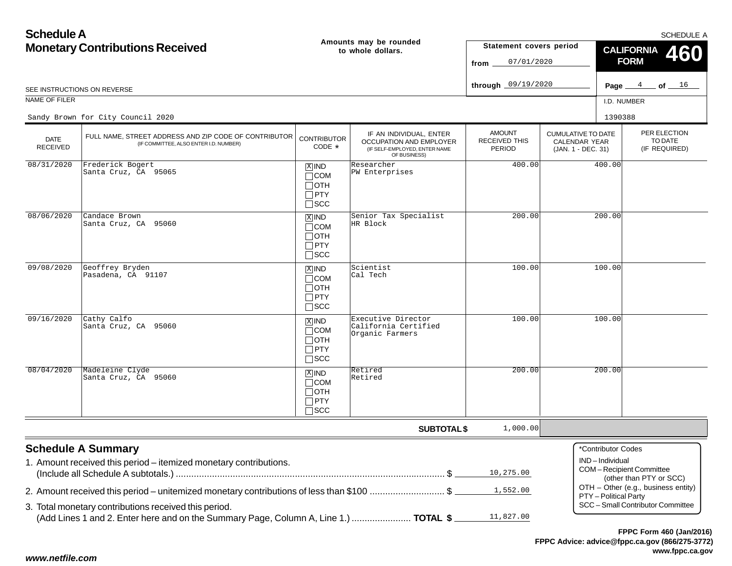| <b>Schedule A</b>                      |                                                                                                                                                                                                                                                     |                                                                    |                                                                                                     |                                                 |                                                                         |                                                               | <b>SCHEDULE A</b>                                                                                                              |  |
|----------------------------------------|-----------------------------------------------------------------------------------------------------------------------------------------------------------------------------------------------------------------------------------------------------|--------------------------------------------------------------------|-----------------------------------------------------------------------------------------------------|-------------------------------------------------|-------------------------------------------------------------------------|---------------------------------------------------------------|--------------------------------------------------------------------------------------------------------------------------------|--|
| <b>Monetary Contributions Received</b> |                                                                                                                                                                                                                                                     |                                                                    | Amounts may be rounded<br>to whole dollars.                                                         | Statement covers period<br>07/01/2020<br>from   |                                                                         | <b>CALIFORNIA</b><br>460<br><b>FORM</b>                       |                                                                                                                                |  |
|                                        | SEE INSTRUCTIONS ON REVERSE                                                                                                                                                                                                                         |                                                                    |                                                                                                     |                                                 |                                                                         |                                                               | Page $4$ of $16$                                                                                                               |  |
| <b>NAME OF FILER</b>                   |                                                                                                                                                                                                                                                     |                                                                    |                                                                                                     |                                                 |                                                                         | I.D. NUMBER                                                   |                                                                                                                                |  |
|                                        | Sandy Brown for City Council 2020                                                                                                                                                                                                                   |                                                                    |                                                                                                     |                                                 |                                                                         | 1390388                                                       |                                                                                                                                |  |
| <b>DATE</b><br><b>RECEIVED</b>         | FULL NAME, STREET ADDRESS AND ZIP CODE OF CONTRIBUTOR<br>(IF COMMITTEE, ALSO ENTER I.D. NUMBER)                                                                                                                                                     | <b>CONTRIBUTOR</b><br>CODE *                                       | IF AN INDIVIDUAL, ENTER<br>OCCUPATION AND EMPLOYER<br>(IF SELF-EMPLOYED, ENTER NAME<br>OF BUSINESS) | <b>AMOUNT</b><br>RECEIVED THIS<br><b>PERIOD</b> | <b>CUMULATIVE TO DATE</b><br><b>CALENDAR YEAR</b><br>(JAN. 1 - DEC. 31) |                                                               | PER ELECTION<br>TO DATE<br>(IF REQUIRED)                                                                                       |  |
| 08/31/2020                             | Frederick Bogert<br>Santa Cruz, CA 95065                                                                                                                                                                                                            | $X$ IND<br>$\Box$ COM<br>$\Box$ OTH<br>$\Box$ PTY<br>$\square$ SCC | Researcher<br>PW Enterprises                                                                        | 400.00                                          |                                                                         | 400.00                                                        |                                                                                                                                |  |
| 08/06/2020                             | Candace Brown<br>Santa Cruz, CA 95060                                                                                                                                                                                                               | $X$ IND<br>$\Box$ COM<br>$\Box$ OTH<br>$\Box$ PTY<br>$\square$ SCC | Senior Tax Specialist<br>HR Block                                                                   | 200.00                                          |                                                                         | 200.00                                                        |                                                                                                                                |  |
| 09/08/2020                             | Geoffrey Bryden<br>Pasadena, CA 91107                                                                                                                                                                                                               | $X$ IND<br>$\Box$ COM<br>$\Box$ OTH<br>$\Box$ PTY<br>$\square$ SCC | Scientist<br>Cal Tech                                                                               | 100.00                                          |                                                                         | 100.00                                                        |                                                                                                                                |  |
| 09/16/2020                             | Cathy Calfo<br>Santa Cruz, CA 95060                                                                                                                                                                                                                 | $X$ IND<br>$\Box$ COM<br>$\Box$ OTH<br>$\Box$ PTY<br>$\square$ SCC | Executive Director<br>California Certified<br>Organic Farmers                                       | 100.00                                          |                                                                         | 100.00                                                        |                                                                                                                                |  |
| 08/04/2020                             | Madeleine Clyde<br>Santa Cruz, CA 95060                                                                                                                                                                                                             | $X$ IND<br>$\Box$ COM<br>$\Box$ OTH<br>$\Box$ PTY<br>$\square$ SCC | Retired<br>Retired                                                                                  | 200.00                                          |                                                                         | 200.00                                                        |                                                                                                                                |  |
|                                        |                                                                                                                                                                                                                                                     |                                                                    | <b>SUBTOTAL \$</b>                                                                                  | 1,000.00                                        |                                                                         |                                                               |                                                                                                                                |  |
|                                        | <b>Schedule A Summary</b><br>1. Amount received this period - itemized monetary contributions.<br>2. Amount received this period – unitemized monetary contributions of less than \$100 \$<br>3. Total monetary contributions received this period. |                                                                    |                                                                                                     | 10,275.00<br>1,552.00                           |                                                                         | *Contributor Codes<br>IND-Individual<br>PTY - Political Party | COM-Recipient Committee<br>(other than PTY or SCC)<br>OTH - Other (e.g., business entity)<br>SCC - Small Contributor Committee |  |
|                                        | (Add Lines 1 and 2. Enter here and on the Summary Page, Column A, Line 1.)  TOTAL \$                                                                                                                                                                |                                                                    |                                                                                                     | 11,827.00                                       |                                                                         |                                                               |                                                                                                                                |  |

**FPPC Advice: advice@fppc.ca.gov (866/275-3772) www.fppc.ca.gov FPPC Form 460 (Jan/2016)**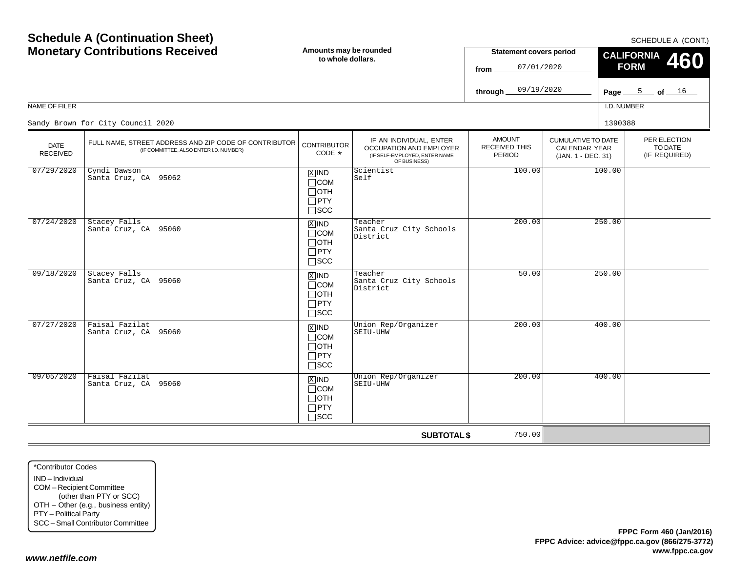|                                | <b>Schedule A (Continuation Sheet)</b><br><b>Monetary Contributions Received</b>                | Amounts may be rounded<br>to whole dollars.                                   |                                                                                                     | <b>Statement covers period</b><br>07/01/2020<br>from<br>09/19/2020<br>through. |                                                                         | SCHEDULE A (CONT.)<br><b>CALIFORNIA</b><br>460<br><b>FORM</b><br>Page $\frac{5}{2}$ of $\frac{16}{2}$ |                                          |
|--------------------------------|-------------------------------------------------------------------------------------------------|-------------------------------------------------------------------------------|-----------------------------------------------------------------------------------------------------|--------------------------------------------------------------------------------|-------------------------------------------------------------------------|-------------------------------------------------------------------------------------------------------|------------------------------------------|
| NAME OF FILER                  |                                                                                                 |                                                                               |                                                                                                     |                                                                                |                                                                         | I.D. NUMBER                                                                                           |                                          |
|                                | Sandy Brown for City Council 2020                                                               |                                                                               |                                                                                                     |                                                                                |                                                                         | 1390388                                                                                               |                                          |
| <b>DATE</b><br><b>RECEIVED</b> | FULL NAME, STREET ADDRESS AND ZIP CODE OF CONTRIBUTOR<br>(IF COMMITTEE, ALSO ENTER I.D. NUMBER) | <b>CONTRIBUTOR</b><br>CODE *                                                  | IF AN INDIVIDUAL, ENTER<br>OCCUPATION AND EMPLOYER<br>(IF SELF-EMPLOYED, ENTER NAME<br>OF BUSINESS) | <b>AMOUNT</b><br><b>RECEIVED THIS</b><br>PERIOD                                | <b>CUMULATIVE TO DATE</b><br><b>CALENDAR YEAR</b><br>(JAN. 1 - DEC. 31) |                                                                                                       | PER ELECTION<br>TO DATE<br>(IF REQUIRED) |
| 07/29/2020                     | Cyndi Dawson<br>Santa Cruz, CA 95062                                                            | $X$ IND<br>$\Box$ COM<br>Потн<br>$\Box$ PTY<br>$\square$ SCC                  | Scientist<br>Self                                                                                   | 100.00                                                                         |                                                                         | 100.00                                                                                                |                                          |
| 07/24/2020                     | Stacey Falls<br>Santa Cruz, CA 95060                                                            | $X$ IND<br>$\Box$ COM<br>$\Box$ OTH<br>$\Box$ PTY<br>$\square$ SCC            | Teacher<br>Santa Cruz City Schools<br>District                                                      | 200.00                                                                         |                                                                         | 250.00                                                                                                |                                          |
| 09/18/2020                     | Stacey Falls<br>Santa Cruz, CA 95060                                                            | $X$ IND<br>$\Box$ COM<br>$\Box$ OTH<br>$\Box$ PTY<br>$\Box$ SCC               | Teacher<br>Santa Cruz City Schools<br>District                                                      | 50.00                                                                          |                                                                         | 250.00                                                                                                |                                          |
| 07/27/2020                     | Faisal Fazilat<br>Santa Cruz, CA 95060                                                          | $\overline{X}$ IND<br>$\Box$ COM<br>$\Box$ OTH<br>$\Box$ PTY<br>$\square$ SCC | Union Rep/Organizer<br>SEIU-UHW                                                                     | 200.00                                                                         |                                                                         | 400.00                                                                                                |                                          |
| 09/05/2020                     | Faisal Fazilat<br>Santa Cruz, CA 95060                                                          | $X$ IND<br>$\Box$ COM<br>$\Box$ OTH<br>$\Box$ PTY<br>$\Box$ SCC               | Union Rep/Organizer<br>SEIU-UHW                                                                     | 200.00                                                                         |                                                                         | 400.00                                                                                                |                                          |
|                                |                                                                                                 |                                                                               | <b>SUBTOTAL \$</b>                                                                                  | 750.00                                                                         |                                                                         |                                                                                                       |                                          |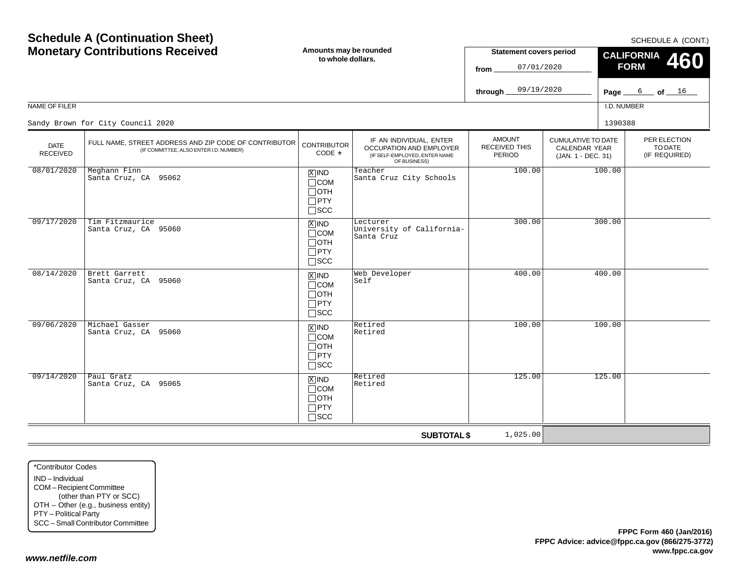| <b>Schedule A (Continuation Sheet)</b><br><b>Monetary Contributions Received</b><br>Amounts may be rounded<br>to whole dollars.<br>NAME OF FILER<br>Sandy Brown for City Council 2020 |                                                                                                 |                                                                    |                                                                                                     | <b>Statement covers period</b><br>07/01/2020<br>from<br>09/19/2020<br>through. |                                                                         | SCHEDULE A (CONT.)<br><b>CALIFORNIA</b><br>460<br><b>FORM</b><br>Page $6$ of $16$<br>I.D. NUMBER<br>1390388 |  |
|---------------------------------------------------------------------------------------------------------------------------------------------------------------------------------------|-------------------------------------------------------------------------------------------------|--------------------------------------------------------------------|-----------------------------------------------------------------------------------------------------|--------------------------------------------------------------------------------|-------------------------------------------------------------------------|-------------------------------------------------------------------------------------------------------------|--|
| <b>DATE</b><br><b>RECEIVED</b>                                                                                                                                                        | FULL NAME, STREET ADDRESS AND ZIP CODE OF CONTRIBUTOR<br>(IF COMMITTEE, ALSO ENTER I.D. NUMBER) | <b>CONTRIBUTOR</b><br>CODE *                                       | IF AN INDIVIDUAL, ENTER<br>OCCUPATION AND EMPLOYER<br>(IF SELF-EMPLOYED, ENTER NAME<br>OF BUSINESS) | <b>AMOUNT</b><br><b>RECEIVED THIS</b><br><b>PERIOD</b>                         | <b>CUMULATIVE TO DATE</b><br><b>CALENDAR YEAR</b><br>(JAN. 1 - DEC. 31) | PER ELECTION<br>TO DATE<br>(IF REQUIRED)                                                                    |  |
| 08/01/2020                                                                                                                                                                            | Meghann Finn<br>Santa Cruz, CA 95062                                                            | $X$ IND<br>$\Box$ COM<br>$\Box$ OTH<br>$\Box$ PTY<br>$\square$ SCC | Teacher<br>Santa Cruz City Schools                                                                  | 100.00                                                                         |                                                                         | 100.00                                                                                                      |  |
| 09/17/2020                                                                                                                                                                            | Tim Fitzmaurice<br>Santa Cruz, CA 95060                                                         | $X$ IND<br>$\Box$ COM<br>$\Box$ OTH<br>$\Box$ PTY<br>$\square$ scc | Lecturer<br>University of California-<br>Santa Cruz                                                 | 300.00                                                                         |                                                                         | 300.00                                                                                                      |  |
| 08/14/2020                                                                                                                                                                            | Brett Garrett<br>Santa Cruz, CA 95060                                                           | $X$ IND<br>$\Box$ COM<br>$\Box$ OTH<br>$\Box$ PTY<br>$\square$ SCC | Web Developer<br>Self                                                                               | 400.00                                                                         |                                                                         | 400.00                                                                                                      |  |
| 09/06/2020                                                                                                                                                                            | Michael Gasser<br>Santa Cruz, CA 95060                                                          | $x$ IND<br>$\Box$ COM<br>$\Box$ OTH<br>$\Box$ PTY<br>$\square$ SCC | Retired<br>Retired                                                                                  | 100.00                                                                         |                                                                         | 100.00                                                                                                      |  |
| 09/14/2020                                                                                                                                                                            | Paul Gratz<br>Santa Cruz, CA 95065                                                              | $X$ IND<br>$\Box$ COM<br>$\Box$ OTH<br>$\Box$ PTY<br>$\Box$ scc    | Retired<br>Retired                                                                                  | 125.00                                                                         |                                                                         | 125.00                                                                                                      |  |
|                                                                                                                                                                                       |                                                                                                 |                                                                    | <b>SUBTOTAL \$</b>                                                                                  | 1,025.00                                                                       |                                                                         |                                                                                                             |  |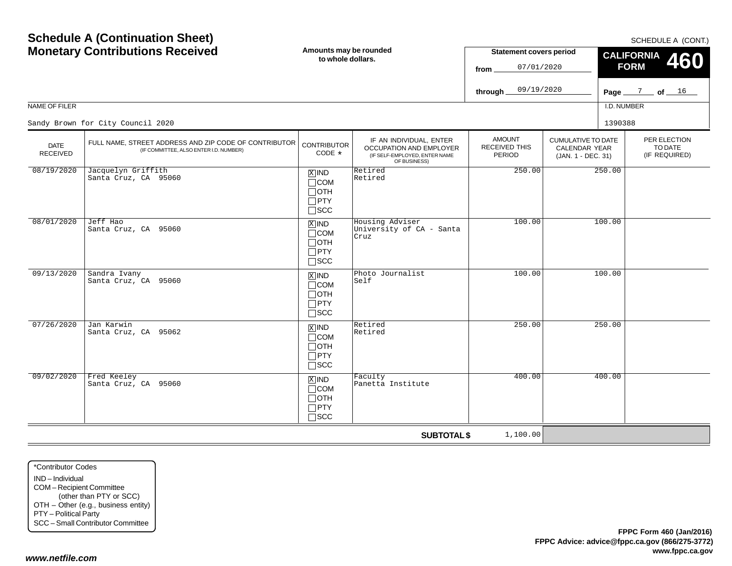| <b>NAME OF FILER</b>           |                                                                                                 |                                                                                |                                                                                                     |                                                 |                                                                         | I.D. NUME |  |
|--------------------------------|-------------------------------------------------------------------------------------------------|--------------------------------------------------------------------------------|-----------------------------------------------------------------------------------------------------|-------------------------------------------------|-------------------------------------------------------------------------|-----------|--|
|                                | Sandy Brown for City Council 2020                                                               |                                                                                |                                                                                                     |                                                 |                                                                         | 1390388   |  |
| <b>DATE</b><br><b>RECEIVED</b> | FULL NAME, STREET ADDRESS AND ZIP CODE OF CONTRIBUTOR<br>(IF COMMITTEE, ALSO ENTER I.D. NUMBER) | <b>CONTRIBUTOR</b><br>CODE $*$                                                 | IF AN INDIVIDUAL, ENTER<br>OCCUPATION AND EMPLOYER<br>(IF SELF-EMPLOYED, ENTER NAME<br>OF BUSINESS) | <b>AMOUNT</b><br><b>RECEIVED THIS</b><br>PERIOD | <b>CUMULATIVE TO DATE</b><br><b>CALENDAR YEAR</b><br>(JAN. 1 - DEC. 31) |           |  |
| 08/19/2020                     | Jacquelyn Griffith<br>Santa Cruz, CA 95060                                                      | $X$ IND<br>$\sqcap$ COM<br>∏отн<br>$\sqcap$ PTY<br>$\sqcap$ scc                | Retired<br>Retired                                                                                  | 250.00                                          |                                                                         | 250.00    |  |
| 08/01/2020                     | Jeff Hao<br>Santa Cruz, CA 95060                                                                | $\overline{X}$ IND<br>$\Box$ COM<br>$\sqcap$ oth<br>$\Box$ PTY<br>$\sqcap$ scc | Housing Adviser<br>University of CA - Santa<br>Cruz                                                 | 100.00                                          |                                                                         | 100.00    |  |
| 09/13/2020                     | Sandra Ivany<br>Santa Cruz, CA 95060                                                            | $x$ IND<br>$\sqcap$ COM<br>∏отн<br>$\Box$ PTY<br>$\sqcap$ scc                  | Photo Journalist<br>Self                                                                            | 100.00                                          |                                                                         | 100.00    |  |
| 07/26/2020                     | Jan Karwin<br>Santa Cruz, CA 95062                                                              | $x$ IND<br>$\sqcap$ COM<br>$\sqcap$ OTH<br>$\sqcap$ PTY<br>$\sqcap$ scc        | Retired<br>Retired                                                                                  | 250.00                                          |                                                                         | 250.00    |  |
| 09/02/2020                     | Fred Keeley<br>Santa Cruz, CA 95060                                                             | $X$ IND<br>$\sqcap$ COM<br>$\sqcap$ OTH<br>$\sqcap$ PTY<br>$\sqcap$ scc        | Faculty<br>Panetta Institute                                                                        | 400.00                                          |                                                                         | 400.00    |  |

**Amounts may be rounded to whole dollars.**

## **Schedule A (Continuation Sheet) Monetary Contributions Received**

SCHEDULE A (CONT.)

PER ELECTIONTO DATE(IF REQUIRED)

**460**

Page <u>\_\_\_\_<sup>7</sup> \_\_</u>\_ of <u>\_\_\_\_<sup>16</sup></u>

I.D. NUMBER

**CALIFORNIA FORM**

**Statement covers period**

07/01/2020

09/19/2020

**from**

**through**

**SUBTOTAL \$**

1,100.00

\*Contributor CodesIND – IndividualCOM – Recipient Committee (other than PTY or SCC) OTH – Other (e.g., business entity) PTY – Political Party SCC – Small Contributor Committee

#### *www.netfile.com*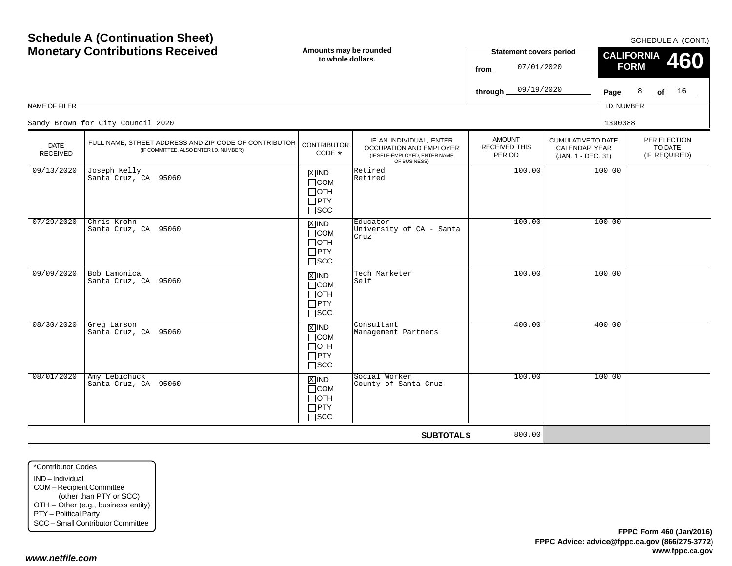| <b>Monetary Contributions Received</b> |                                                                                                 | Amounts may be rounded<br>to whole dollars.                                   |                                                                                                            | <b>Statement covers period</b><br>07/01/2020<br>from |                                                                  | <b>CALIFORNIA</b><br><b>460</b><br><b>FORM</b> |                                          |
|----------------------------------------|-------------------------------------------------------------------------------------------------|-------------------------------------------------------------------------------|------------------------------------------------------------------------------------------------------------|------------------------------------------------------|------------------------------------------------------------------|------------------------------------------------|------------------------------------------|
|                                        |                                                                                                 |                                                                               |                                                                                                            | 09/19/2020<br>through_                               |                                                                  |                                                | Page $8$ of $16$                         |
| NAME OF FILER                          |                                                                                                 |                                                                               |                                                                                                            |                                                      |                                                                  | I.D. NUMBER                                    |                                          |
|                                        | Sandy Brown for City Council 2020                                                               |                                                                               |                                                                                                            |                                                      |                                                                  | 1390388                                        |                                          |
| <b>DATE</b><br><b>RECEIVED</b>         | FULL NAME, STREET ADDRESS AND ZIP CODE OF CONTRIBUTOR<br>(IF COMMITTEE, ALSO ENTER I.D. NUMBER) | <b>CONTRIBUTOR</b><br>CODE *                                                  | IF AN INDIVIDUAL, ENTER<br><b>OCCUPATION AND EMPLOYER</b><br>(IF SELF-EMPLOYED, ENTER NAME<br>OF BUSINESS) | <b>AMOUNT</b><br>RECEIVED THIS<br>PERIOD             | <b>CUMULATIVE TO DATE</b><br>CALENDAR YEAR<br>(JAN. 1 - DEC. 31) |                                                | PER ELECTION<br>TO DATE<br>(IF REQUIRED) |
| 09/13/2020                             | Joseph Kelly<br>Santa Cruz, CA 95060                                                            | $X$ IND<br>$\Box$ COM<br>$\Box$ OTH<br>$\square$ PTY<br>$\square$ SCC         | Retired<br>Retired                                                                                         | 100.00                                               |                                                                  | 100.00                                         |                                          |
| 07/29/2020                             | Chris Krohn<br>Santa Cruz, CA 95060                                                             | $X$ IND<br>$\Box$ COM<br>$\Box$ OTH<br>$\Box$ PTY<br>$\square$ SCC            | Educator<br>University of CA - Santa<br>Cruz                                                               | 100.00                                               |                                                                  | 100.00                                         |                                          |
| 09/09/2020                             | Bob Lamonica<br>Santa Cruz, CA 95060                                                            | $\overline{X}$ IND<br>$\Box$ COM<br>$\Box$ OTH<br>$\Box$ PTY<br>$\square$ SCC | Tech Marketer<br>Self                                                                                      | 100.00                                               |                                                                  | 100.00                                         |                                          |
| 08/30/2020                             | Greg Larson<br>Santa Cruz, CA 95060                                                             | $X$ IND<br>$\Box$ COM<br>$\Box$ OTH<br>$\Box$ PTY<br>$\square$ SCC            | Consultant<br>Management Partners                                                                          | 400.00                                               |                                                                  | 400.00                                         |                                          |
| 08/01/2020                             | Amy Lebichuck<br>Santa Cruz, CA 95060                                                           | $X$ IND<br>$\Box$ COM<br>$\Box$ OTH<br>$\Box$ PTY<br>$\Box$ scc               | Social Worker<br>County of Santa Cruz                                                                      | 100.00                                               |                                                                  | 100.00                                         |                                          |
|                                        |                                                                                                 |                                                                               | <b>SUBTOTAL \$</b>                                                                                         | 800.00                                               |                                                                  |                                                |                                          |

\*Contributor CodesIND – Individual COM – Recipient Committee (other than PTY or SCC) OTH – Other (e.g., business entity) PTY – Political Party SCC – Small Contributor Committee

**Schedule A (Continuation Sheet)**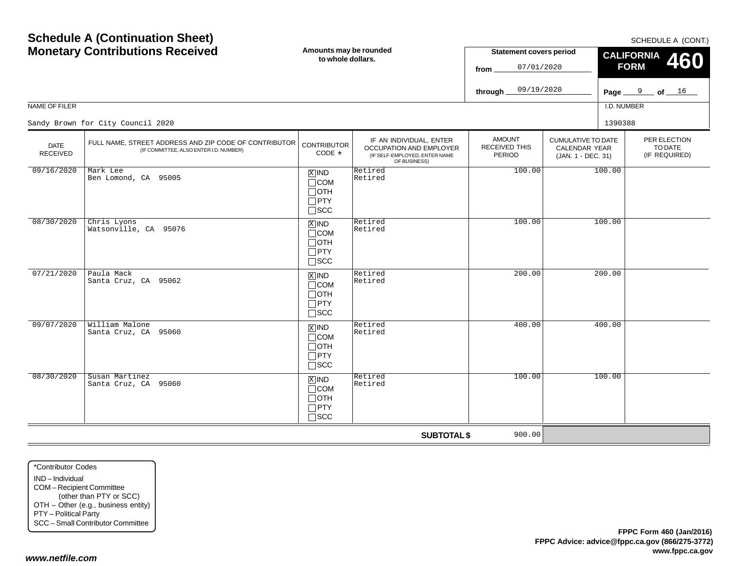| <b>Monetary Contributions Received</b> |                                                                                                 | Amounts may be rounded<br>to whole dollars.                                   |                                                                                                     | <b>Statement covers period</b><br>07/01/2020<br>from. |                                                                         | <b>OUTLDULL A TOOP</b><br><b>CALIFORNIA</b><br>460<br><b>FORM</b> |  |
|----------------------------------------|-------------------------------------------------------------------------------------------------|-------------------------------------------------------------------------------|-----------------------------------------------------------------------------------------------------|-------------------------------------------------------|-------------------------------------------------------------------------|-------------------------------------------------------------------|--|
|                                        |                                                                                                 |                                                                               |                                                                                                     | 09/19/2020<br>through                                 |                                                                         | of $16$<br>Page $9$                                               |  |
| NAME OF FILER                          |                                                                                                 |                                                                               |                                                                                                     |                                                       |                                                                         | I.D. NUMBER                                                       |  |
|                                        | Sandy Brown for City Council 2020                                                               |                                                                               |                                                                                                     |                                                       |                                                                         | 1390388                                                           |  |
| <b>DATE</b><br>RECEIVED                | FULL NAME, STREET ADDRESS AND ZIP CODE OF CONTRIBUTOR<br>(IF COMMITTEE, ALSO ENTER I.D. NUMBER) | <b>CONTRIBUTOR</b><br>CODE *                                                  | IF AN INDIVIDUAL, ENTER<br>OCCUPATION AND EMPLOYER<br>(IF SELF-EMPLOYED, ENTER NAME<br>OF BUSINESS) | <b>AMOUNT</b><br>RECEIVED THIS<br>PERIOD              | <b>CUMULATIVE TO DATE</b><br><b>CALENDAR YEAR</b><br>(JAN. 1 - DEC. 31) | PER ELECTION<br>TO DATE<br>(IF REQUIRED)                          |  |
| 09/16/2020                             | Mark Lee<br>Ben Lomond, CA 95005                                                                | $X$ IND<br>$\Box$ COM<br>$\Box$ oth<br>$\Box$ PTY<br>$\Box$ scc               | Retired<br>Retired                                                                                  | 100.00                                                |                                                                         | 100.00                                                            |  |
| 08/30/2020                             | Chris Lyons<br>Watsonville, CA 95076                                                            | $\overline{X}$ IND<br>$\Box$ COM<br>$\Box$ OTH<br>$\Box$ PTY<br>$\Box$ SCC    | Retired<br>Retired                                                                                  | 100.00                                                |                                                                         | 100.00                                                            |  |
| 07/21/2020                             | Paula Mack<br>Santa Cruz, CA 95062                                                              | $\overline{X}$ IND<br>$\Box$ COM<br>$\Box$ OTH<br>$\Box$ PTY<br>$\Box$ scc    | Retired<br>Retired                                                                                  | 200.00                                                |                                                                         | 200.00                                                            |  |
| 09/07/2020                             | William Malone<br>Santa Cruz, CA 95060                                                          | $\overline{X}$ IND<br>$\Box$ COM<br>$\Box$ oth<br>$\Box$ PTY<br>$\square$ SCC | Retired<br>Retired                                                                                  | 400.00                                                |                                                                         | 400.00                                                            |  |
| 08/30/2020                             | Susan Martinez<br>Santa Cruz, CA 95060                                                          | $X$ IND<br>$\Box$ COM<br>$\Box$ OTH<br>$\neg$ PTY                             | Retired<br>Retired                                                                                  | 100.00                                                |                                                                         | 100.00                                                            |  |

SCC

**SUBTOTAL \$**

900.00

COM – Recipient Committee (other than PTY or SCC) OTH – Other (e.g., business entity) PTY – Political Party SCC – Small Contributor Committee

#### *www.netfile.com*

\*Contributor CodesIND – Individual

SCHEDULE A (CONT.)

**460**

# **Schedule A (Continuation Sheet) Monetary Contributions Received**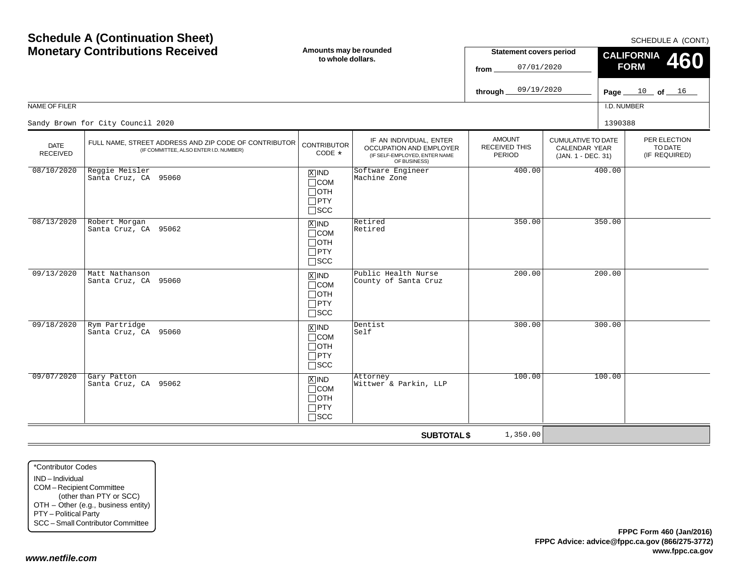#### \*Contributor CodesIND – IndividualCOM – Recipient Committee (other than PTY or SCC) OTH – Other (e.g., business entity) PTY – Political Party SCC – Small Contributor Committee

*www.netfile.com*

| <b>MONEGRY CONTRIBUTIONS RECEIVED</b> |                                                                                                 | to whole dollars.                                                          |                                                                                                     | <b>Statement Covers period</b><br>07/01/2020<br>from |                                                                  | $\frac{1}{2}$ CALIFORNIA 460<br><b>FORM</b> |                                          |  |
|---------------------------------------|-------------------------------------------------------------------------------------------------|----------------------------------------------------------------------------|-----------------------------------------------------------------------------------------------------|------------------------------------------------------|------------------------------------------------------------------|---------------------------------------------|------------------------------------------|--|
|                                       |                                                                                                 |                                                                            |                                                                                                     | 09/19/2020<br>through $\equiv$                       |                                                                  |                                             | Page $10$ of $16$                        |  |
| NAME OF FILER                         |                                                                                                 |                                                                            |                                                                                                     |                                                      |                                                                  | I.D. NUMBER                                 |                                          |  |
|                                       | Sandy Brown for City Council 2020                                                               |                                                                            |                                                                                                     |                                                      |                                                                  | 1390388                                     |                                          |  |
| <b>DATE</b><br><b>RECEIVED</b>        | FULL NAME, STREET ADDRESS AND ZIP CODE OF CONTRIBUTOR<br>(IF COMMITTEE, ALSO ENTER I.D. NUMBER) | <b>CONTRIBUTOR</b><br>CODE *                                               | IF AN INDIVIDUAL, ENTER<br>OCCUPATION AND EMPLOYER<br>(IF SELF-EMPLOYED, ENTER NAME<br>OF BUSINESS) | AMOUNT<br><b>RECEIVED THIS</b><br><b>PERIOD</b>      | <b>CUMULATIVE TO DATE</b><br>CALENDAR YEAR<br>(JAN. 1 - DEC. 31) |                                             | PER ELECTION<br>TO DATE<br>(IF REQUIRED) |  |
| 08/10/2020                            | Reggie Meisler<br>Santa Cruz, CA 95060                                                          | $X$ IND<br>$\Box$ COM<br>$\Box$ OTH<br>$\Box$ PTY<br>$\Box$ scc            | Software Engineer<br>Machine Zone                                                                   | 400.00                                               |                                                                  | 400.00                                      |                                          |  |
| 08/13/2020                            | Robert Morgan<br>Santa Cruz, CA 95062                                                           | $X$ IND<br>$\Box$ COM<br>$\Box$ OTH<br>$\Box$ PTY<br>$\square$ SCC         | Retired<br>Retired                                                                                  | 350.00                                               |                                                                  | 350.00                                      |                                          |  |
| 09/13/2020                            | Matt Nathanson<br>Santa Cruz, CA 95060                                                          | $X$ IND<br>$\Box$ COM<br>$\Box$ OTH<br>$\Box$ PTY<br>$\square$ SCC         | Public Health Nurse<br>County of Santa Cruz                                                         | 200.00                                               |                                                                  | 200.00                                      |                                          |  |
| 09/18/2020                            | Rym Partridge<br>Santa Cruz, CA 95060                                                           | $\overline{X}$ IND<br>$\Box$ COM<br>$\Box$ OTH<br>$\Box$ PTY<br>$\Box$ SCC | Dentist<br>Self                                                                                     | 300.00                                               |                                                                  | 300.00                                      |                                          |  |
| 09/07/2020                            | Gary Patton<br>Santa Cruz, CA 95062                                                             | $X$ IND<br>$\Box$ COM<br>$\Box$ OTH<br>$\Box$ PTY<br>$\sqcap$ SCC          | Attorney<br>Wittwer & Parkin, LLP                                                                   | 100.00                                               |                                                                  | 100.00                                      |                                          |  |
|                                       |                                                                                                 |                                                                            | <b>SUBTOTAL \$</b>                                                                                  | 1,350.00                                             |                                                                  |                                             |                                          |  |

**Amounts may be rounded**

# **Schedule A (Continuation Sheet) Monetary Contributions Received**

SCHEDULE A (CONT.)

**Statement covers period**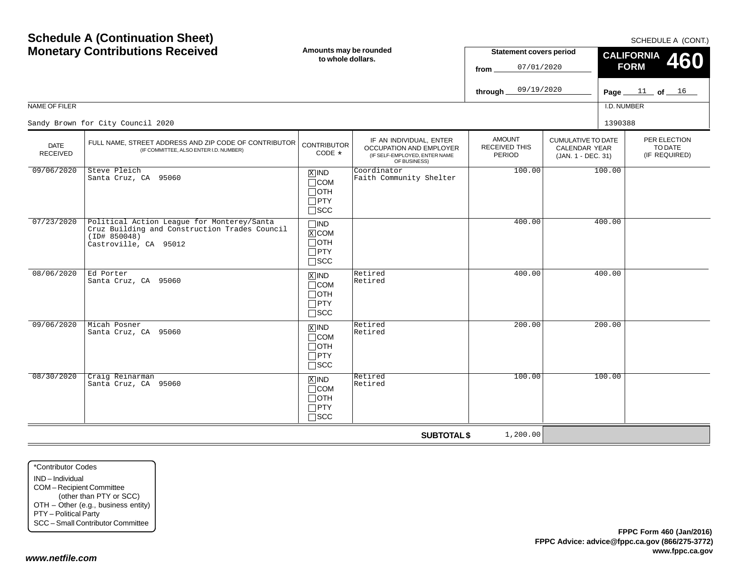$SCHFDUI F A (CONT)$ 

| <b>Monetary Contributions Received</b> |                                                                                                                                      | Amounts may be rounded<br>to whole dollars.                                    |                                                                                                     | <b>Statement covers period</b><br>07/01/2020<br>from.  |                                                                  |             | - <u>.</u><br><b>CALIFORNIA</b><br><b>460</b><br><b>FORM</b> |
|----------------------------------------|--------------------------------------------------------------------------------------------------------------------------------------|--------------------------------------------------------------------------------|-----------------------------------------------------------------------------------------------------|--------------------------------------------------------|------------------------------------------------------------------|-------------|--------------------------------------------------------------|
|                                        |                                                                                                                                      |                                                                                |                                                                                                     | 09/19/2020<br>through.                                 |                                                                  |             | Page $11$ of $16$                                            |
| NAME OF FILER                          |                                                                                                                                      |                                                                                |                                                                                                     |                                                        |                                                                  | I.D. NUMBER |                                                              |
|                                        | Sandy Brown for City Council 2020                                                                                                    |                                                                                |                                                                                                     |                                                        |                                                                  | 1390388     |                                                              |
| <b>DATE</b><br><b>RECEIVED</b>         | FULL NAME, STREET ADDRESS AND ZIP CODE OF CONTRIBUTOR<br>(IF COMMITTEE, ALSO ENTER I.D. NUMBER)                                      | <b>CONTRIBUTOR</b><br>CODE *                                                   | IF AN INDIVIDUAL, ENTER<br>OCCUPATION AND EMPLOYER<br>(IF SELF-EMPLOYED, ENTER NAME<br>OF BUSINESS) | <b>AMOUNT</b><br><b>RECEIVED THIS</b><br><b>PERIOD</b> | <b>CUMULATIVE TO DATE</b><br>CALENDAR YEAR<br>(JAN. 1 - DEC. 31) |             | PER ELECTION<br>TO DATE<br>(IF REQUIRED)                     |
| 09/06/2020                             | Steve Pleich<br>Santa Cruz, CA 95060                                                                                                 | $X$ IND<br>$\Box$ COM<br>$\Box$ OTH<br>$\Box$ PTY<br>$\square$ SCC             | Coordinator<br>Faith Community Shelter                                                              | 100.00                                                 |                                                                  | 100.00      |                                                              |
| 07/23/2020                             | Political Action League for Monterey/Santa<br>Cruz Building and Construction Trades Council<br>(ID# 850048)<br>Castroville, CA 95012 | $\Box$ IND<br>$X$ COM<br>$\Box$ OTH<br>$\Box$ PTY<br>$\Box$ SCC                |                                                                                                     | 400.00                                                 |                                                                  | 400.00      |                                                              |
| 08/06/2020                             | Ed Porter<br>Santa Cruz, CA 95060                                                                                                    | $X$ IND<br>$\Box$ COM<br>$\Box$ OTH<br>$\Box$ PTY<br>$\Box$ SCC                | Retired<br>Retired                                                                                  | 400.00                                                 |                                                                  | 400.00      |                                                              |
| 09/06/2020                             | Micah Posner<br>Santa Cruz, CA 95060                                                                                                 | $\boxed{\text{X}}$ IND<br>$\Box$ COM<br>$\Box$ OTH<br>$\Box$ PTY<br>$\Box$ SCC | Retired<br>Retired                                                                                  | 200.00                                                 |                                                                  | 200.00      |                                                              |
| 08/30/2020                             | Craig Reinarman<br>Santa Cruz, CA 95060                                                                                              | $X$ IND<br>$\Box$ COM<br>$\Box$ OTH<br>$\Box$ PTY<br>$\Box$ scc                | Retired<br>Retired                                                                                  | 100.00                                                 |                                                                  | 100.00      |                                                              |
|                                        |                                                                                                                                      |                                                                                | <b>SUBTOTAL \$</b>                                                                                  | 1,200.00                                               |                                                                  |             |                                                              |

\*Contributor CodesIND – IndividualCOM – Recipient Committee (other than PTY or SCC) OTH – Other (e.g., business entity) PTY – Political Party SCC – Small Contributor Committee

**Schedule A (Continuation Sheet)**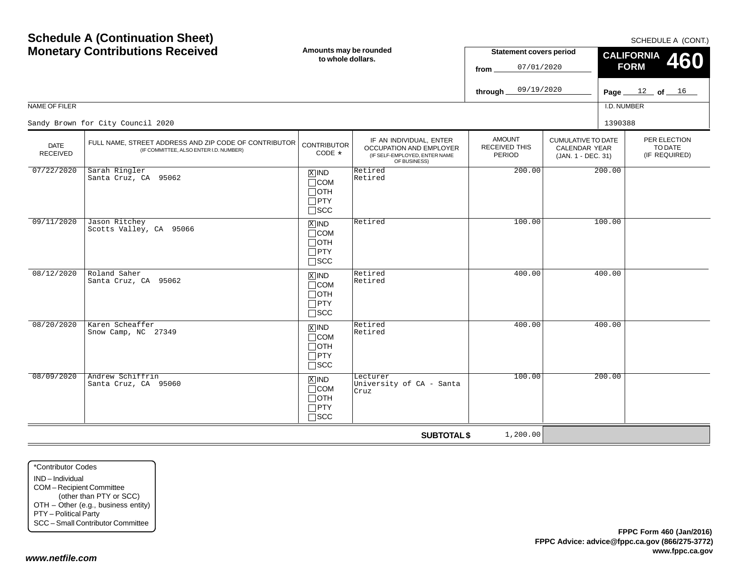|                                |                                                                                                 | LU WIIUIG UUIIGI 3.                                                |                                                                                                     | 07/01/2020<br>from                       |                                                                         | 41<br><b>FORM</b>                      |
|--------------------------------|-------------------------------------------------------------------------------------------------|--------------------------------------------------------------------|-----------------------------------------------------------------------------------------------------|------------------------------------------|-------------------------------------------------------------------------|----------------------------------------|
|                                |                                                                                                 |                                                                    |                                                                                                     | 09/19/2020<br>through                    |                                                                         | Page $12$ of $16$                      |
| NAME OF FILER                  |                                                                                                 |                                                                    |                                                                                                     |                                          |                                                                         | I.D. NUMBER                            |
|                                | Sandy Brown for City Council 2020                                                               |                                                                    |                                                                                                     |                                          |                                                                         | 1390388                                |
| <b>DATE</b><br><b>RECEIVED</b> | FULL NAME, STREET ADDRESS AND ZIP CODE OF CONTRIBUTOR<br>(IF COMMITTEE, ALSO ENTER I.D. NUMBER) | <b>CONTRIBUTOR</b><br>$CODE *$                                     | IF AN INDIVIDUAL, ENTER<br>OCCUPATION AND EMPLOYER<br>(IF SELF-EMPLOYED, ENTER NAME<br>OF BUSINESS) | <b>AMOUNT</b><br>RECEIVED THIS<br>PERIOD | <b>CUMULATIVE TO DATE</b><br><b>CALENDAR YEAR</b><br>(JAN. 1 - DEC. 31) | PER ELECTIC<br>TO DATE<br>(IF REQUIRE) |
| 07/22/2020                     | Sarah Ringler<br>Santa Cruz, CA 95062                                                           | $X$ IND<br>$\Box$ COM<br>$\Box$ OTH<br>$\Box$ PTY<br>$\square$ SCC | Retired<br>Retired                                                                                  | 200.00                                   | 200.00                                                                  |                                        |
| 09/11/2020                     | Jason Ritchey<br>Scotts Valley, CA 95066                                                        | $X$ IND<br>$\Box$ COM<br>$\Box$ OTH<br>$\Box$ PTY<br>$\Box$ scc    | Retired                                                                                             | 100.00                                   | 100.00                                                                  |                                        |
| 08/12/2020                     | Roland Saher<br>Santa Cruz, CA 95062                                                            | $X$ IND<br>$\Box$ COM<br>$\Box$ OTH<br>$\Box$ PTY<br>$\Box$ scc    | Retired<br>Retired                                                                                  | 400.00                                   | 400.00                                                                  |                                        |
| 08/20/2020                     | Karen Scheaffer<br>Snow Camp, NC 27349                                                          | $X$ IND<br>$\Box$ COM<br>$\Box$ OTH<br>$\Box$ PTY<br>$\square$ scc | Retired<br>Retired                                                                                  | 400.00                                   | 400.00                                                                  |                                        |
| 08/09/2020                     | Andrew Schiffrin<br>Santa Cruz, CA 95060                                                        | $X$ IND<br>$\Box$ COM<br>$\Box$ OTH<br>$\Box$ PTY                  | Lecturer<br>University of CA - Santa<br>Cruz                                                        | 100.00                                   | 200.00                                                                  |                                        |

SCC

**SUBTOTAL \$**

1,200.00

## **Schedule A (Continuation Sheet) Monetary Contributions Received**

**Amounts may be rounded to whole dollars.**

SCHEDULE A (CONT.)

PER ELECTIONTO DATE(IF REQUIRED)

**460**

**CALIFORNIA**

**Statement covers period**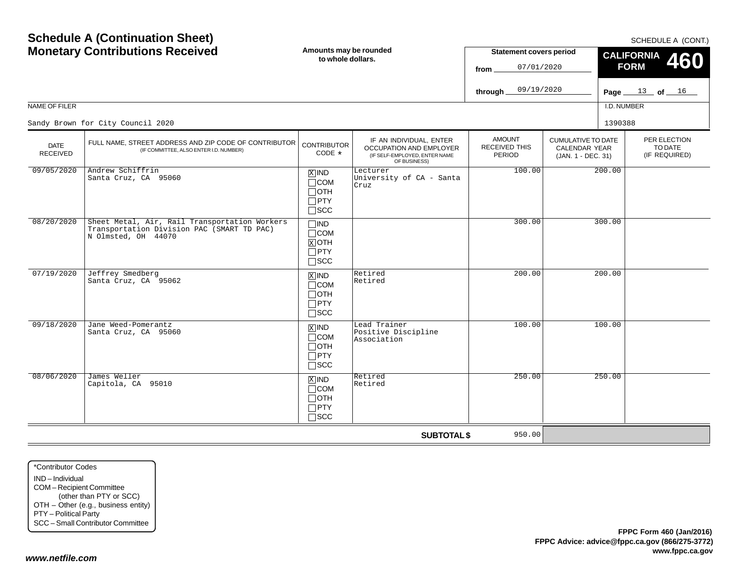| <b>Schedule A (Continuation Sheet)</b><br><b>Monetary Contributions Received</b> |                                                                                                                    | Amounts may be rounded<br>to whole dollars.                                       |                                                                                                     | <b>Statement covers period</b><br>07/01/2020<br>from<br>09/19/2020<br>through. |                                                                         | SCHEDULE A (CONT.)<br><b>CALIFORNIA</b><br>460<br><b>FORM</b><br>Page $13$ of $16$ |                                          |  |
|----------------------------------------------------------------------------------|--------------------------------------------------------------------------------------------------------------------|-----------------------------------------------------------------------------------|-----------------------------------------------------------------------------------------------------|--------------------------------------------------------------------------------|-------------------------------------------------------------------------|------------------------------------------------------------------------------------|------------------------------------------|--|
| NAME OF FILER                                                                    |                                                                                                                    |                                                                                   |                                                                                                     |                                                                                |                                                                         | I.D. NUMBER                                                                        |                                          |  |
|                                                                                  | Sandy Brown for City Council 2020                                                                                  |                                                                                   |                                                                                                     |                                                                                |                                                                         | 1390388                                                                            |                                          |  |
| <b>DATE</b><br><b>RECEIVED</b>                                                   | FULL NAME, STREET ADDRESS AND ZIP CODE OF CONTRIBUTOR<br>(IF COMMITTEE, ALSO ENTER I.D. NUMBER)                    | <b>CONTRIBUTOR</b><br>CODE *                                                      | IF AN INDIVIDUAL, ENTER<br>OCCUPATION AND EMPLOYER<br>(IF SELF-EMPLOYED, ENTER NAME<br>OF BUSINESS) | <b>AMOUNT</b><br><b>RECEIVED THIS</b><br><b>PERIOD</b>                         | <b>CUMULATIVE TO DATE</b><br><b>CALENDAR YEAR</b><br>(JAN. 1 - DEC. 31) |                                                                                    | PER ELECTION<br>TO DATE<br>(IF REQUIRED) |  |
| 09/05/2020                                                                       | Andrew Schiffrin<br>Santa Cruz, CA 95060                                                                           | $X$ IND<br>$\Box$ COM<br>$\Box$ OTH<br>$\Box$ PTY<br>$\square$ SCC                | Lecturer<br>University of CA - Santa<br>Cruz                                                        | 100.00                                                                         |                                                                         | 200.00                                                                             |                                          |  |
| 08/20/2020                                                                       | Sheet Metal, Air, Rail Transportation Workers<br>Transportation Division PAC (SMART TD PAC)<br>N Olmsted, OH 44070 | $\Box$ IND<br>$\Box$ COM<br>$\boxed{\text{X}}$ OTH<br>$\Box$ PTY<br>$\square$ scc |                                                                                                     | 300.00                                                                         |                                                                         | 300.00                                                                             |                                          |  |
| 07/19/2020                                                                       | Jeffrey Smedberg<br>Santa Cruz, CA 95062                                                                           | $\overline{X}$ IND<br>$\Box$ COM<br>$\Box$ OTH<br>$\Box$ PTY<br>$\Box$ scc        | Retired<br>Retired                                                                                  | 200.00                                                                         |                                                                         | 200.00                                                                             |                                          |  |
| 09/18/2020                                                                       | Jane Weed-Pomerantz<br>Santa Cruz, CA 95060                                                                        | $X$ IND<br>$\Box$ COM<br>$\Box$ OTH<br>$\Box$ PTY<br>$\square$ SCC                | Lead Trainer<br>Positive Discipline<br>Association                                                  | 100.00                                                                         |                                                                         | 100.00                                                                             |                                          |  |
| 08/06/2020                                                                       | James Weller<br>Capitola, CA 95010                                                                                 | $X$ IND<br>$\Box$ COM<br>$\Box$ OTH<br>$\Box$ PTY<br>$\Box$ SCC                   | Retired<br>Retired                                                                                  | 250.00                                                                         |                                                                         | 250.00                                                                             |                                          |  |
|                                                                                  |                                                                                                                    |                                                                                   | <b>SUBTOTAL \$</b>                                                                                  | 950.00                                                                         |                                                                         |                                                                                    |                                          |  |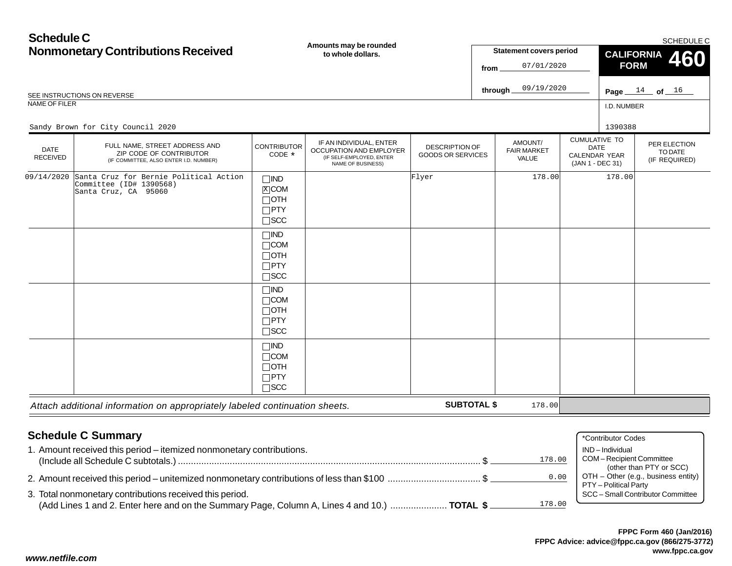| <b>Schedule C</b>              | <b>Nonmonetary Contributions Received</b><br>SEE INSTRUCTIONS ON REVERSE                           |                                                                       | Amounts may be rounded<br>to whole dollars.                                                         |                                            | from | <b>Statement covers period</b><br>07/01/2020<br>09/19/2020<br>through. |                                                                                 | <b>CALIFORNIA</b><br><b>FORM</b> | SCHEDULE C<br>460<br>Page $14$ of $16$   |
|--------------------------------|----------------------------------------------------------------------------------------------------|-----------------------------------------------------------------------|-----------------------------------------------------------------------------------------------------|--------------------------------------------|------|------------------------------------------------------------------------|---------------------------------------------------------------------------------|----------------------------------|------------------------------------------|
| NAME OF FILER                  | Sandy Brown for City Council 2020                                                                  |                                                                       |                                                                                                     |                                            |      |                                                                        |                                                                                 | I.D. NUMBER<br>1390388           |                                          |
| <b>DATE</b><br><b>RECEIVED</b> | FULL NAME, STREET ADDRESS AND<br>ZIP CODE OF CONTRIBUTOR<br>(IF COMMITTEE, ALSO ENTER I.D. NUMBER) | <b>CONTRIBUTOR</b><br>CODE *                                          | IF AN INDIVIDUAL, ENTER<br>OCCUPATION AND EMPLOYER<br>(IF SELF-EMPLOYED, ENTER<br>NAME OF BUSINESS) | DESCRIPTION OF<br><b>GOODS OR SERVICES</b> |      | AMOUNT/<br><b>FAIR MARKET</b><br>VALUE                                 | <b>CUMULATIVE TO</b><br><b>DATE</b><br><b>CALENDAR YEAR</b><br>(JAN 1 - DEC 31) |                                  | PER ELECTION<br>TO DATE<br>(IF REQUIRED) |
| 09/14/2020                     | Santa Cruz for Bernie Political Action<br>Committee (ID# 1390568)<br>Santa Cruz, CA 95060          | $\Box$ IND<br>$X$ COM<br>$\Box$ OTH<br>$\Box$ PTY<br>$\square$ SCC    |                                                                                                     | Flyer                                      |      | 178.00                                                                 |                                                                                 | 178.00                           |                                          |
|                                |                                                                                                    | $\Box$ IND<br>$\Box$ COM<br>$\Box$ OTH<br>$\Box$ PTY<br>$\square$ SCC |                                                                                                     |                                            |      |                                                                        |                                                                                 |                                  |                                          |
|                                |                                                                                                    | $\Box$ IND<br>$\Box$ COM<br>$\Box$ OTH<br>$\Box$ PTY<br>$\square$ SCC |                                                                                                     |                                            |      |                                                                        |                                                                                 |                                  |                                          |
|                                |                                                                                                    | $\Box$ IND<br>$\Box$ COM<br>$\Box$ OTH<br>$\Box$ PTY<br>$\square$ SCC |                                                                                                     |                                            |      |                                                                        |                                                                                 |                                  |                                          |

*Attach additional information on appropriately labeled continuation sheets.*

# **Schedule C Summary**

| <b>Schedule C Summary</b>                                                                                                                                           | *Contributor Codes                                                                      |
|---------------------------------------------------------------------------------------------------------------------------------------------------------------------|-----------------------------------------------------------------------------------------|
| 1. Amount received this period – itemized nonmonetary contributions.<br>178.00                                                                                      | IND – Individual<br>COM-Recipient Committee                                             |
| 0.00                                                                                                                                                                | (other than PTY or SCC)<br>OTH - Other (e.g., business entity)<br>PTY - Political Party |
| 3. Total nonmonetary contributions received this period.<br>178.00<br>(Add Lines 1 and 2. Enter here and on the Summary Page, Column A, Lines 4 and 10.)  TOTAL \$. | SCC - Small Contributor Committee                                                       |

**SUBTOTAL \$**

178.00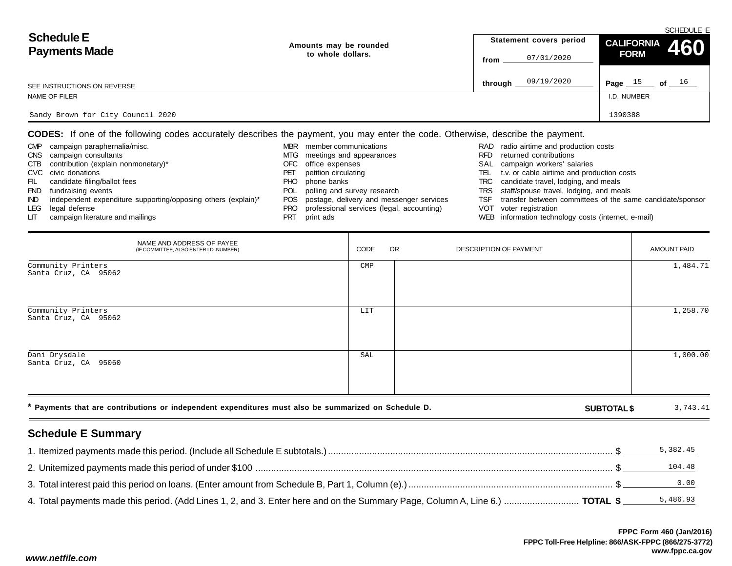|                                   |                        |                         | SCHEDULE E                                                       |
|-----------------------------------|------------------------|-------------------------|------------------------------------------------------------------|
| <b>Schedule E</b>                 | Amounts may be rounded | Statement covers period | CALIFORNIA 460                                                   |
| <b>Payments Made</b>              | to whole dollars.      | 07/01/2020<br>from      | <b>FORM</b>                                                      |
| SEE INSTRUCTIONS ON REVERSE       |                        | 09/19/2020<br>through.  | Page $15$<br>of $\rule{1.5cm}{0.15cm}$ 0f $\rule{1.5cm}{0.15cm}$ |
| NAME OF FILER                     |                        |                         | I.D. NUMBER                                                      |
| Sandy Brown for City Council 2020 |                        |                         | 1390388                                                          |

**CODES:** If one of the following codes accurately describes the payment, you may enter the code. Otherwise, describe the payment.

| <b>CMP</b> | campaign paraphernalia/misc.                                  | <b>MBR</b> | member communications                        |      | RAD radio airtime and production costs                    |
|------------|---------------------------------------------------------------|------------|----------------------------------------------|------|-----------------------------------------------------------|
| <b>CNS</b> | campaign consultants                                          |            | MTG meetings and appearances                 | RFD. | returned contributions                                    |
| CTB        | contribution (explain nonmonetary)*                           | OFC        | office expenses                              |      | SAL campaign workers' salaries                            |
|            | CVC civic donations                                           | PEI        | petition circulating                         | TELI | t.v. or cable airtime and production costs                |
| FIL        | candidate filing/ballot fees                                  | PHO.       | phone banks                                  |      | TRC candidate travel, lodging, and meals                  |
| <b>FND</b> | fundraising events                                            | POL        | polling and survey research                  |      | TRS staff/spouse travel, lodging, and meals               |
| IND.       | independent expenditure supporting/opposing others (explain)* |            | POS postage, delivery and messenger services | TSF  | transfer between committees of the same candidate/sponsor |
| LEG        | legal defense                                                 | PRO        | professional services (legal, accounting)    |      | VOT voter registration                                    |
| LIT.       | campaign literature and mailings                              |            | print ads                                    |      | WEB information technology costs (internet, e-mail)       |

| NAME AND ADDRESS OF PAYEE<br>(IF COMMITTEE, ALSO ENTER I.D. NUMBER)                                  | CODE           | <b>OR</b> | DESCRIPTION OF PAYMENT |                    | AMOUNT PAID |
|------------------------------------------------------------------------------------------------------|----------------|-----------|------------------------|--------------------|-------------|
| Community Printers<br>Santa Cruz, CA 95062                                                           | $\texttt{CMP}$ |           |                        |                    | 1,484.71    |
| Community Printers<br>Santa Cruz, CA 95062                                                           | LIT            |           |                        |                    | 1,258.70    |
| Dani Drysdale<br>Santa Cruz, CA 95060                                                                | SAL            |           |                        |                    | 1,000.00    |
| * Payments that are contributions or independent expenditures must also be summarized on Schedule D. |                |           |                        | <b>SUBTOTAL \$</b> | 3,743.41    |

## **Schedule E Summary**

|                                                                                                                              | 5,382.45 |
|------------------------------------------------------------------------------------------------------------------------------|----------|
|                                                                                                                              | 104.48   |
|                                                                                                                              | 0.00     |
| 4. Total payments made this period. (Add Lines 1, 2, and 3. Enter here and on the Summary Page, Column A, Line 6.)  TOTAL \$ | 5,486.93 |